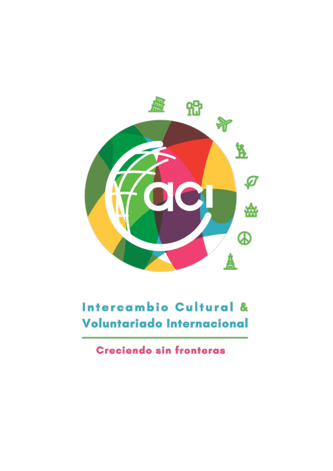

# Intercambio Cultural & Voluntariado Internacional

**Creciendo sin fronteras**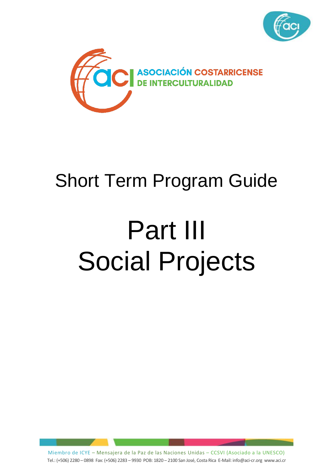



# Short Term Program Guide

# Part III Social Projects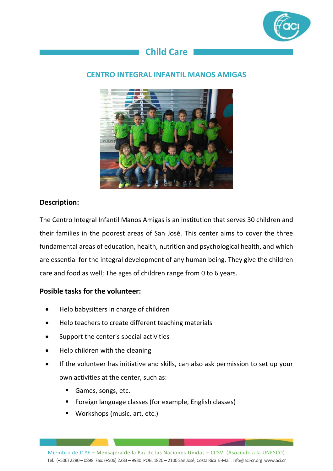

# **Child Care**

#### **CENTRO INTEGRAL INFANTIL MANOS AMIGAS**



#### **Description:**

The Centro Integral Infantil Manos Amigas is an institution that serves 30 children and their families in the poorest areas of San José. This center aims to cover the three fundamental areas of education, health, nutrition and psychological health, and which are essential for the integral development of any human being. They give the children care and food as well; The ages of children range from 0 to 6 years.

#### **Posible tasks for the volunteer:**

- Help babysitters in charge of children
- Help teachers to create different teaching materials
- Support the center's special activities
- Help children with the cleaning
- If the volunteer has initiative and skills, can also ask permission to set up your own activities at the center, such as:
	- Games, songs, etc.
	- Foreign language classes (for example, English classes)
	- Workshops (music, art, etc.)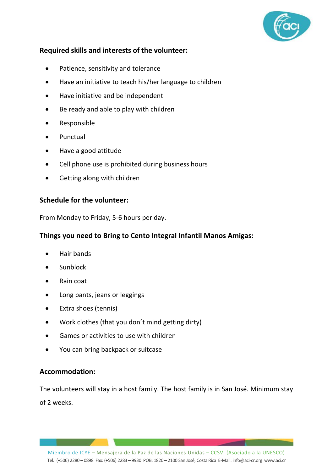

- Patience, sensitivity and tolerance
- Have an initiative to teach his/her language to children
- Have initiative and be independent
- Be ready and able to play with children
- Responsible
- Punctual
- Have a good attitude
- Cell phone use is prohibited during business hours
- Getting along with children

#### **Schedule for the volunteer:**

From Monday to Friday, 5-6 hours per day.

#### **Things you need to Bring to Cento Integral Infantil Manos Amigas:**

- Hair bands
- Sunblock
- Rain coat
- Long pants, jeans or leggings
- Extra shoes (tennis)
- Work clothes (that you don´t mind getting dirty)
- Games or activities to use with children
- You can bring backpack or suitcase

#### **Accommodation:**

The volunteers will stay in a host family. The host family is in San José. Minimum stay of 2 weeks.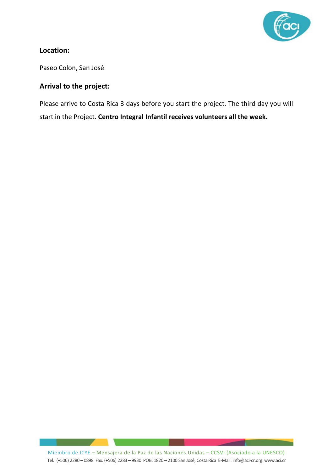

#### **Location:**

Paseo Colon, San José

#### **Arrival to the project:**

Please arrive to Costa Rica 3 days before you start the project. The third day you will start in the Project. **Centro Integral Infantil receives volunteers all the week.**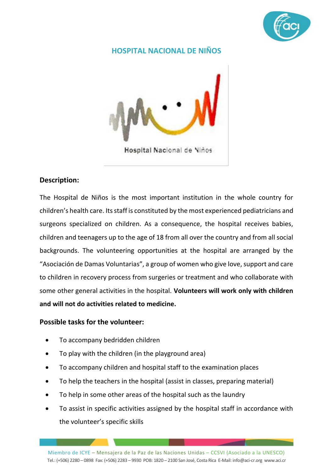

#### **HOSPITAL NACIONAL DE NIÑOS**



#### **Description:**

The Hospital de Niños is the most important institution in the whole country for children's health care. Its staff is constituted by the most experienced pediatricians and surgeons specialized on children. As a consequence, the hospital receives babies, children and teenagers up to the age of 18 from all over the country and from all social backgrounds. The volunteering opportunities at the hospital are arranged by the "Asociación de Damas Voluntarias", a group of women who give love, support and care to children in recovery process from surgeries or treatment and who collaborate with some other general activities in the hospital. **Volunteers will work only with children and will not do activities related to medicine.**

#### **Possible tasks for the volunteer:**

- To accompany bedridden children
- To play with the children (in the playground area)
- To accompany children and hospital staff to the examination places
- To help the teachers in the hospital (assist in classes, preparing material)
- To help in some other areas of the hospital such as the laundry
- To assist in specific activities assigned by the hospital staff in accordance with the volunteer's specific skills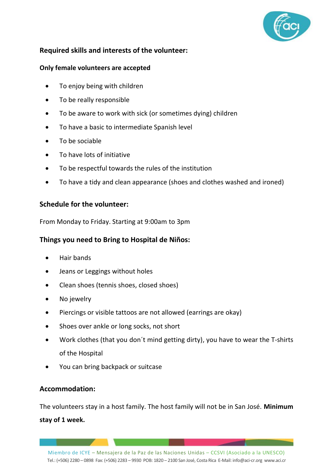

#### **Only female volunteers are accepted**

- To enjoy being with children
- To be really responsible
- To be aware to work with sick (or sometimes dying) children
- To have a basic to intermediate Spanish level
- To be sociable
- To have lots of initiative
- To be respectful towards the rules of the institution
- To have a tidy and clean appearance (shoes and clothes washed and ironed)

#### **Schedule for the volunteer:**

From Monday to Friday. Starting at 9:00am to 3pm

#### **Things you need to Bring to Hospital de Niños:**

- Hair bands
- Jeans or Leggings without holes
- Clean shoes (tennis shoes, closed shoes)
- No jewelry
- Piercings or visible tattoos are not allowed (earrings are okay)
- Shoes over ankle or long socks, not short
- Work clothes (that you don´t mind getting dirty), you have to wear the T-shirts of the Hospital
- You can bring backpack or suitcase

#### **Accommodation:**

The volunteers stay in a host family. The host family will not be in San José. **Minimum stay of 1 week.**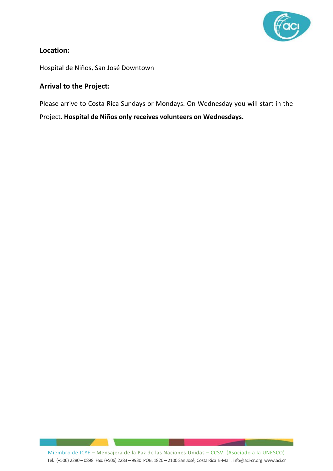

#### **Location:**

Hospital de Niños, San José Downtown

#### **Arrival to the Project:**

Please arrive to Costa Rica Sundays or Mondays. On Wednesday you will start in the Project. **Hospital de Niños only receives volunteers on Wednesdays.**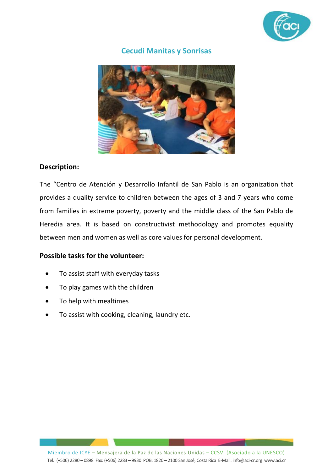

#### **Cecudi Manitas y Sonrisas**



#### **Description:**

The "Centro de Atención y Desarrollo Infantil de San Pablo is an organization that provides a quality service to children between the ages of 3 and 7 years who come from families in extreme poverty, poverty and the middle class of the San Pablo de Heredia area. It is based on constructivist methodology and promotes equality between men and women as well as core values for personal development.

#### **Possible tasks for the volunteer:**

- To assist staff with everyday tasks
- To play games with the children
- To help with mealtimes
- To assist with cooking, cleaning, laundry etc.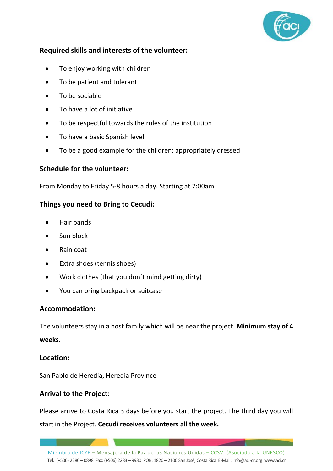

- To enjoy working with children
- To be patient and tolerant
- To be sociable
- To have a lot of initiative
- To be respectful towards the rules of the institution
- To have a basic Spanish level
- To be a good example for the children: appropriately dressed

#### **Schedule for the volunteer:**

From Monday to Friday 5-8 hours a day. Starting at 7:00am

#### **Things you need to Bring to Cecudi:**

- Hair bands
- Sun block
- Rain coat
- Extra shoes (tennis shoes)
- Work clothes (that you don´t mind getting dirty)
- You can bring backpack or suitcase

#### **Accommodation:**

The volunteers stay in a host family which will be near the project. **Minimum stay of 4 weeks.**

#### **Location:**

San Pablo de Heredia, Heredia Province

#### **Arrival to the Project:**

Please arrive to Costa Rica 3 days before you start the project. The third day you will start in the Project. **Cecudi receives volunteers all the week.**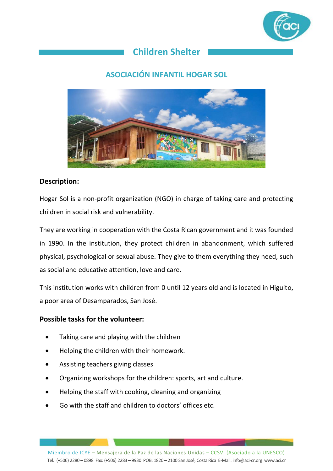

# **Children Shelter**

## **ASOCIACIÓN INFANTIL HOGAR SOL**



#### **Description:**

Hogar Sol is a non-profit organization (NGO) in charge of taking care and protecting children in social risk and vulnerability.

They are working in cooperation with the Costa Rican government and it was founded in 1990. In the institution, they protect children in abandonment, which suffered physical, psychological or sexual abuse. They give to them everything they need, such as social and educative attention, love and care.

This institution works with children from 0 until 12 years old and is located in Higuito, a poor area of Desamparados, San José.

#### **Possible tasks for the volunteer:**

- Taking care and playing with the children
- Helping the children with their homework.
- Assisting teachers giving classes
- Organizing workshops for the children: sports, art and culture.
- Helping the staff with cooking, cleaning and organizing
- Go with the staff and children to doctors' offices etc.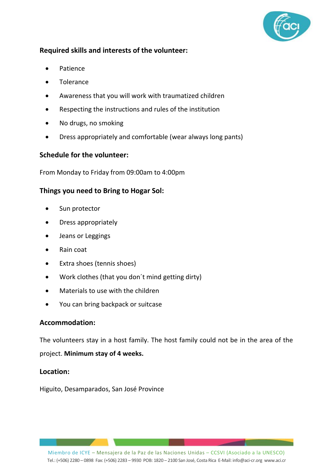

- Patience
- **Tolerance**
- Awareness that you will work with traumatized children
- Respecting the instructions and rules of the institution
- No drugs, no smoking
- Dress appropriately and comfortable (wear always long pants)

#### **Schedule for the volunteer:**

From Monday to Friday from 09:00am to 4:00pm

#### **Things you need to Bring to Hogar Sol:**

- Sun protector
- Dress appropriately
- Jeans or Leggings
- Rain coat
- Extra shoes (tennis shoes)
- Work clothes (that you don´t mind getting dirty)
- Materials to use with the children
- You can bring backpack or suitcase

#### **Accommodation:**

The volunteers stay in a host family. The host family could not be in the area of the project. **Minimum stay of 4 weeks.**

#### **Location:**

Higuito, Desamparados, San José Province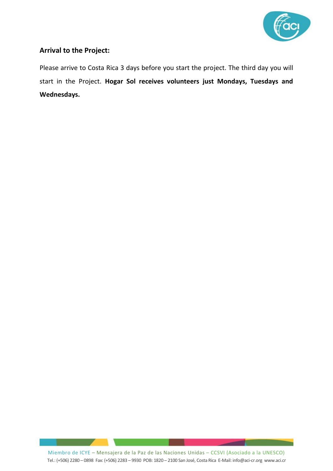

#### **Arrival to the Project:**

Please arrive to Costa Rica 3 days before you start the project. The third day you will start in the Project. **Hogar Sol receives volunteers just Mondays, Tuesdays and Wednesdays.**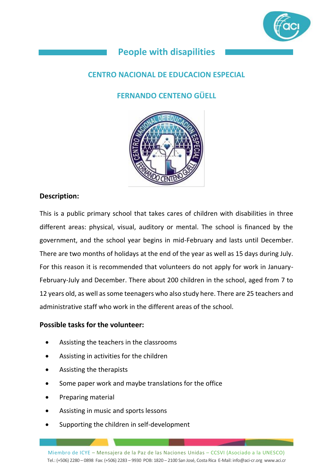

# **People with disapilities**

## **CENTRO NACIONAL DE EDUCACION ESPECIAL**

# **FERNANDO CENTENO GÜELL**



#### **Description:**

This is a public primary school that takes cares of children with disabilities in three different areas: physical, visual, auditory or mental. The school is financed by the government, and the school year begins in mid-February and lasts until December. There are two months of holidays at the end of the year as well as 15 days during July. For this reason it is recommended that volunteers do not apply for work in January-February-July and December. There about 200 children in the school, aged from 7 to 12 years old, as well as some teenagers who also study here. There are 25 teachers and administrative staff who work in the different areas of the school.

#### **Possible tasks for the volunteer:**

- Assisting the teachers in the classrooms
- Assisting in activities for the children
- Assisting the therapists
- Some paper work and maybe translations for the office
- Preparing material
- Assisting in music and sports lessons
- Supporting the children in self-development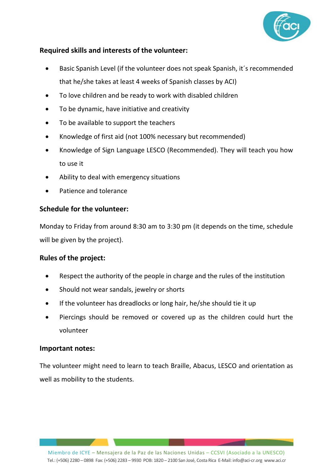

- Basic Spanish Level (if the volunteer does not speak Spanish, it´s recommended that he/she takes at least 4 weeks of Spanish classes by ACI)
- To love children and be ready to work with disabled children
- To be dynamic, have initiative and creativity
- To be available to support the teachers
- Knowledge of first aid (not 100% necessary but recommended)
- Knowledge of Sign Language LESCO (Recommended). They will teach you how to use it
- Ability to deal with emergency situations
- Patience and tolerance

#### **Schedule for the volunteer:**

Monday to Friday from around 8:30 am to 3:30 pm (it depends on the time, schedule will be given by the project).

#### **Rules of the project:**

- Respect the authority of the people in charge and the rules of the institution
- Should not wear sandals, jewelry or shorts
- If the volunteer has dreadlocks or long hair, he/she should tie it up
- Piercings should be removed or covered up as the children could hurt the volunteer

#### **Important notes:**

The volunteer might need to learn to teach Braille, Abacus, LESCO and orientation as well as mobility to the students.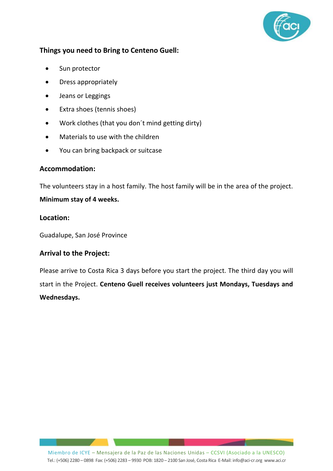

#### **Things you need to Bring to Centeno Guell:**

- Sun protector
- Dress appropriately
- Jeans or Leggings
- Extra shoes (tennis shoes)
- Work clothes (that you don´t mind getting dirty)
- Materials to use with the children
- You can bring backpack or suitcase

#### **Accommodation:**

The volunteers stay in a host family. The host family will be in the area of the project.

#### **Minimum stay of 4 weeks.**

#### **Location:**

Guadalupe, San José Province

#### **Arrival to the Project:**

Please arrive to Costa Rica 3 days before you start the project. The third day you will start in the Project. **Centeno Guell receives volunteers just Mondays, Tuesdays and Wednesdays.**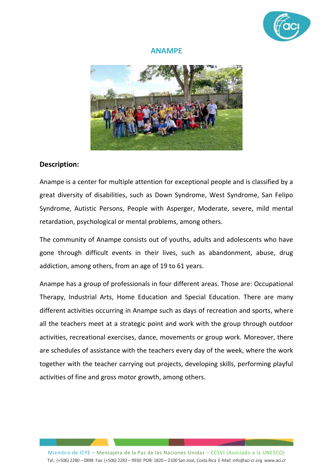

#### **ANAMPE**



#### **Description:**

Anampe is a center for multiple attention for exceptional people and is classified by a great diversity of disabilities, such as Down Syndrome, West Syndrome, San Felipo Syndrome, Autistic Persons, People with Asperger, Moderate, severe, mild mental retardation, psychological or mental problems, among others.

The community of Anampe consists out of youths, adults and adolescents who have gone through difficult events in their lives, such as abandonment, abuse, drug addiction, among others, from an age of 19 to 61 years.

Anampe has a group of professionals in four different areas. Those are: Occupational Therapy, Industrial Arts, Home Education and Special Education. There are many different activities occurring in Anampe such as days of recreation and sports, where all the teachers meet at a strategic point and work with the group through outdoor activities, recreational exercises, dance, movements or group work. Moreover, there are schedules of assistance with the teachers every day of the week, where the work together with the teacher carrying out projects, developing skills, performing playful activities of fine and gross motor growth, among others.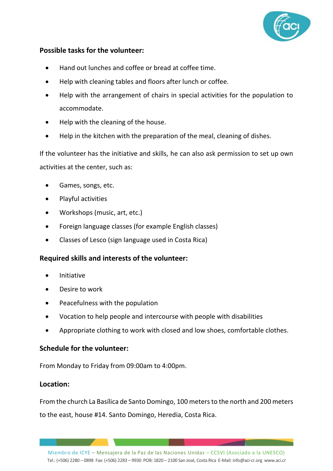

#### **Possible tasks for the volunteer:**

- Hand out lunches and coffee or bread at coffee time.
- Help with cleaning tables and floors after lunch or coffee.
- Help with the arrangement of chairs in special activities for the population to accommodate.
- Help with the cleaning of the house.
- Help in the kitchen with the preparation of the meal, cleaning of dishes.

If the volunteer has the initiative and skills, he can also ask permission to set up own activities at the center, such as:

- Games, songs, etc.
- Playful activities
- Workshops (music, art, etc.)
- Foreign language classes (for example English classes)
- Classes of Lesco (sign language used in Costa Rica)

#### **Required skills and interests of the volunteer:**

- Initiative
- Desire to work
- Peacefulness with the population
- Vocation to help people and intercourse with people with disabilities
- Appropriate clothing to work with closed and low shoes, comfortable clothes.

#### **Schedule for the volunteer:**

From Monday to Friday from 09:00am to 4:00pm.

#### **Location:**

From the church La Basílica de Santo Domingo, 100 meters to the north and 200 meters to the east, house #14. Santo Domingo, Heredia, Costa Rica.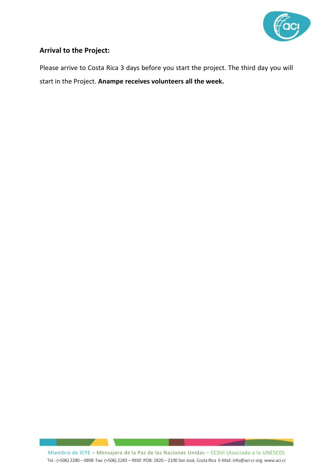

#### **Arrival to the Project:**

Please arrive to Costa Rica 3 days before you start the project. The third day you will start in the Project. **Anampe receives volunteers all the week.**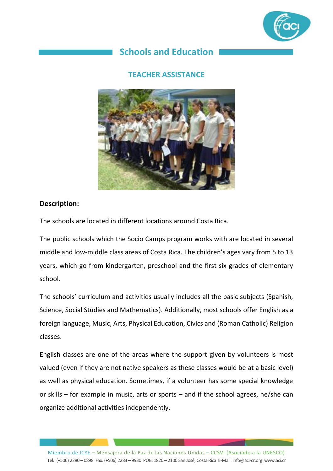

# **Schools and Education**

#### **TEACHER ASSISTANCE**



#### **Description:**

The schools are located in different locations around Costa Rica.

The public schools which the Socio Camps program works with are located in several middle and low-middle class areas of Costa Rica. The children's ages vary from 5 to 13 years, which go from kindergarten, preschool and the first six grades of elementary school.

The schools' curriculum and activities usually includes all the basic subjects (Spanish, Science, Social Studies and Mathematics). Additionally, most schools offer English as a foreign language, Music, Arts, Physical Education, Civics and (Roman Catholic) Religion classes.

English classes are one of the areas where the support given by volunteers is most valued (even if they are not native speakers as these classes would be at a basic level) as well as physical education. Sometimes, if a volunteer has some special knowledge or skills – for example in music, arts or sports – and if the school agrees, he/she can organize additional activities independently.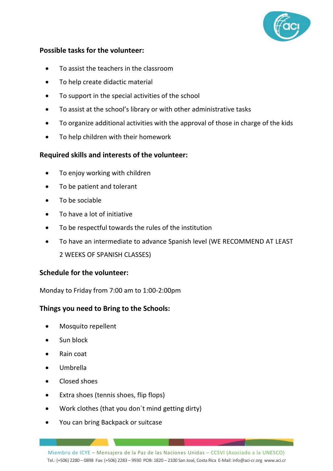

#### **Possible tasks for the volunteer:**

- To assist the teachers in the classroom
- To help create didactic material
- To support in the special activities of the school
- To assist at the school's library or with other administrative tasks
- To organize additional activities with the approval of those in charge of the kids
- To help children with their homework

#### **Required skills and interests of the volunteer:**

- To enjoy working with children
- To be patient and tolerant
- To be sociable
- To have a lot of initiative
- To be respectful towards the rules of the institution
- To have an intermediate to advance Spanish level (WE RECOMMEND AT LEAST 2 WEEKS OF SPANISH CLASSES)

#### **Schedule for the volunteer:**

Monday to Friday from 7:00 am to 1:00-2:00pm

#### **Things you need to Bring to the Schools:**

- Mosquito repellent
- Sun block
- Rain coat
- Umbrella
- Closed shoes
- Extra shoes (tennis shoes, flip flops)
- Work clothes (that you don´t mind getting dirty)
- You can bring Backpack or suitcase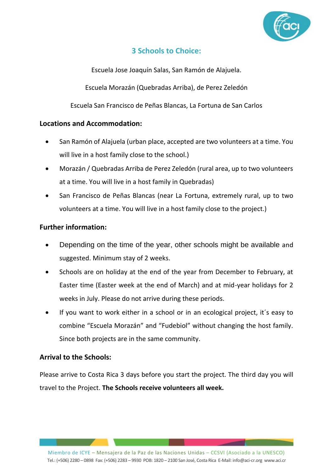

#### **3 Schools to Choice:**

Escuela Jose Joaquín Salas, San Ramón de Alajuela.

Escuela Morazán (Quebradas Arriba), de Perez Zeledón

Escuela San Francisco de Peñas Blancas, La Fortuna de San Carlos

#### **Locations and Accommodation:**

- San Ramón of Alajuela (urban place, accepted are two volunteers at a time. You will live in a host family close to the school.)
- Morazán / Quebradas Arriba de Perez Zeledón (rural area, up to two volunteers at a time. You will live in a host family in Quebradas)
- San Francisco de Peñas Blancas (near La Fortuna, extremely rural, up to two volunteers at a time. You will live in a host family close to the project.)

#### **Further information:**

- Depending on the time of the year, other schools might be available and suggested. Minimum stay of 2 weeks.
- Schools are on holiday at the end of the year from December to February, at Easter time (Easter week at the end of March) and at mid-year holidays for 2 weeks in July. Please do not arrive during these periods.
- If you want to work either in a school or in an ecological project, it´s easy to combine "Escuela Morazán" and "Fudebiol" without changing the host family. Since both projects are in the same community.

#### **Arrival to the Schools:**

Please arrive to Costa Rica 3 days before you start the project. The third day you will travel to the Project. **The Schools receive volunteers all week.**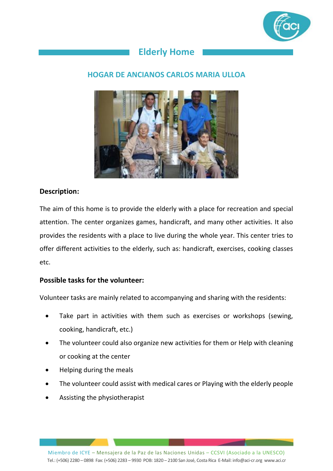

# **Elderly Home**

#### **HOGAR DE ANCIANOS CARLOS MARIA ULLOA**



#### **Description:**

The aim of this home is to provide the elderly with a place for recreation and special attention. The center organizes games, handicraft, and many other activities. It also provides the residents with a place to live during the whole year. This center tries to offer different activities to the elderly, such as: handicraft, exercises, cooking classes etc.

#### **Possible tasks for the volunteer:**

Volunteer tasks are mainly related to accompanying and sharing with the residents:

- Take part in activities with them such as exercises or workshops (sewing, cooking, handicraft, etc.)
- The volunteer could also organize new activities for them or Help with cleaning or cooking at the center
- Helping during the meals
- The volunteer could assist with medical cares or Playing with the elderly people
- Assisting the physiotherapist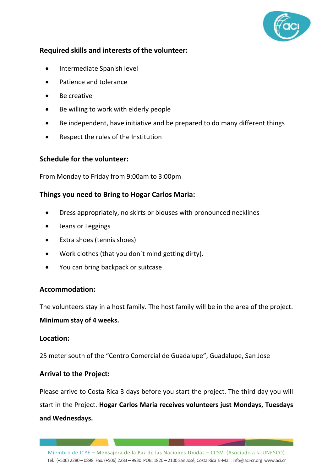

- Intermediate Spanish level
- Patience and tolerance
- Be creative
- Be willing to work with elderly people
- Be independent, have initiative and be prepared to do many different things
- Respect the rules of the Institution

#### **Schedule for the volunteer:**

From Monday to Friday from 9:00am to 3:00pm

#### **Things you need to Bring to Hogar Carlos Maria:**

- Dress appropriately, no skirts or blouses with pronounced necklines
- Jeans or Leggings
- Extra shoes (tennis shoes)
- Work clothes (that you don´t mind getting dirty).
- You can bring backpack or suitcase

#### **Accommodation:**

The volunteers stay in a host family. The host family will be in the area of the project.

#### **Minimum stay of 4 weeks.**

#### **Location:**

25 meter south of the "Centro Comercial de Guadalupe", Guadalupe, San Jose

#### **Arrival to the Project:**

Please arrive to Costa Rica 3 days before you start the project. The third day you will start in the Project. **Hogar Carlos Maria receives volunteers just Mondays, Tuesdays and Wednesdays.**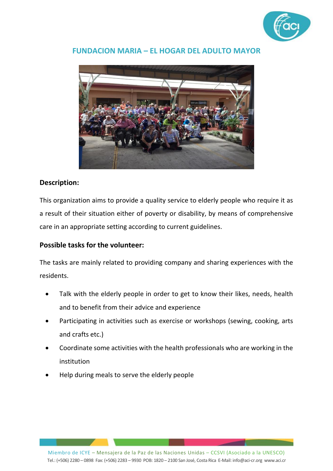

#### **FUNDACION MARIA – EL HOGAR DEL ADULTO MAYOR**



#### **Description:**

This organization aims to provide a quality service to elderly people who require it as a result of their situation either of poverty or disability, by means of comprehensive care in an appropriate setting according to current guidelines.

#### **Possible tasks for the volunteer:**

The tasks are mainly related to providing company and sharing experiences with the residents.

- Talk with the elderly people in order to get to know their likes, needs, health and to benefit from their advice and experience
- Participating in activities such as exercise or workshops (sewing, cooking, arts and crafts etc.)
- Coordinate some activities with the health professionals who are working in the institution
- Help during meals to serve the elderly people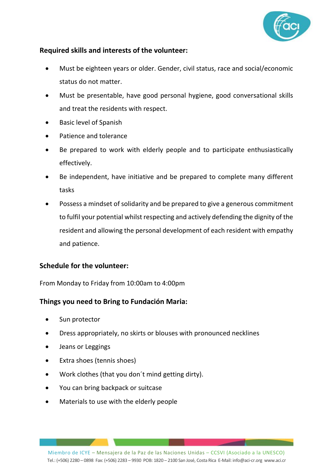

- Must be eighteen years or older. Gender, civil status, race and social/economic status do not matter.
- Must be presentable, have good personal hygiene, good conversational skills and treat the residents with respect.
- Basic level of Spanish
- Patience and tolerance
- Be prepared to work with elderly people and to participate enthusiastically effectively.
- Be independent, have initiative and be prepared to complete many different tasks
- Possess a mindset of solidarity and be prepared to give a generous commitment to fulfil your potential whilst respecting and actively defending the dignity of the resident and allowing the personal development of each resident with empathy and patience.

#### **Schedule for the volunteer:**

From Monday to Friday from 10:00am to 4:00pm

#### **Things you need to Bring to Fundación Maria:**

- Sun protector
- Dress appropriately, no skirts or blouses with pronounced necklines
- Jeans or Leggings
- Extra shoes (tennis shoes)
- Work clothes (that you don´t mind getting dirty).
- You can bring backpack or suitcase
- Materials to use with the elderly people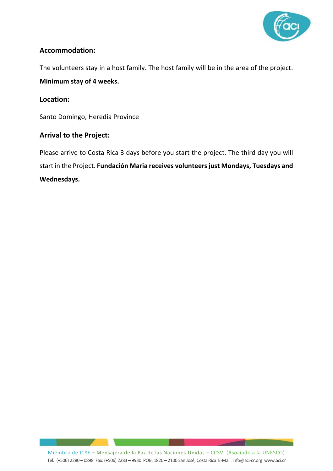

#### **Accommodation:**

The volunteers stay in a host family. The host family will be in the area of the project.

**Minimum stay of 4 weeks.**

#### **Location:**

Santo Domingo, Heredia Province

#### **Arrival to the Project:**

Please arrive to Costa Rica 3 days before you start the project. The third day you will start in the Project. **Fundación Maria receives volunteers just Mondays, Tuesdays and Wednesdays.**